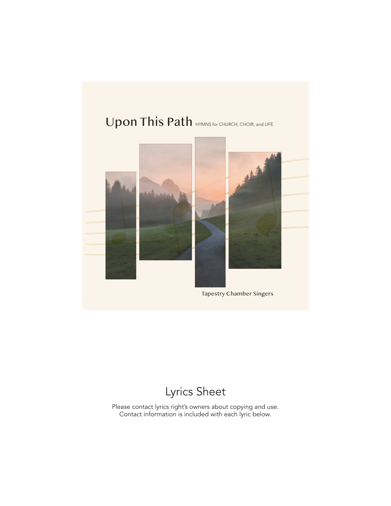# Upon This Path HYMNS for CHURCH, CHOIR, and LIFE



## Lyrics Sheet

Please contact lyrics right's owners about copying and use. Contact information is included with each lyric below.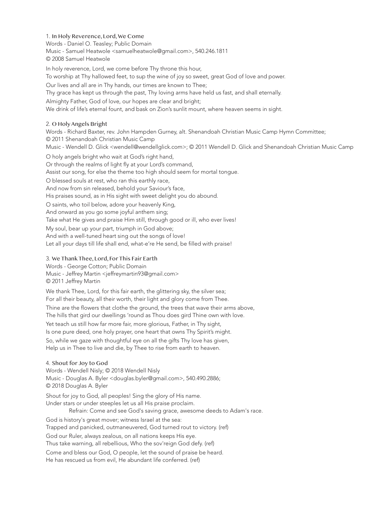1. In Holy Reverence, Lord, We Come Words - Daniel O. Teasley; Public Domain Music - Samuel Heatwole <samuelheatwole@gmail.com>, 540.246.1811 © 2008 Samuel Heatwole

In holy reverence, Lord, we come before Thy throne this hour, To worship at Thy hallowed feet, to sup the wine of joy so sweet, great God of love and power. Our lives and all are in Thy hands, our times are known to Thee; Thy grace has kept us through the past, Thy loving arms have held us fast, and shall eternally. Almighty Father, God of love, our hopes are clear and bright; We drink of life's eternal fount, and bask on Zion's sunlit mount, where heaven seems in sight.

#### 2. O Holy Angels Bright

Words - Richard Baxter, rev. John Hampden Gurney, alt. Shenandoah Christian Music Camp Hymn Committee; © 2011 Shenandoah Christian Music Camp Music - Wendell D. Glick <wendell@wendellglick.com>; © 2011 Wendell D. Glick and Shenandoah Christian Music Camp

O holy angels bright who wait at God's right hand, Or through the realms of light fly at your Lord's command, Assist our song, for else the theme too high should seem for mortal tongue. O blessed souls at rest, who ran this earthly race, And now from sin released, behold your Saviour's face, His praises sound, as in His sight with sweet delight you do abound. O saints, who toil below, adore your heavenly King, And onward as you go some joyful anthem sing; Take what He gives and praise Him still, through good or ill, who ever lives! My soul, bear up your part, triumph in God above; And with a well-tuned heart sing out the songs of love! Let all your days till life shall end, what-e're He send, be filled with praise!

## 3. We Thank Thee, Lord, For This Fair Earth

Words - George Cotton; Public Domain Music - Jeffrey Martin <jeffreymartin93@gmail.com> © 2011 Jeffrey Martin

We thank Thee, Lord, for this fair earth, the glittering sky, the silver sea; For all their beauty, all their worth, their light and glory come from Thee.

Thine are the flowers that clothe the ground, the trees that wave their arms above, The hills that gird our dwellings 'round as Thou does gird Thine own with love.

Yet teach us still how far more fair, more glorious, Father, in Thy sight, Is one pure deed, one holy prayer, one heart that owns Thy Spirit's might.

So, while we gaze with thoughtful eye on all the gifts Thy love has given, Help us in Thee to live and die, by Thee to rise from earth to heaven.

## 4. Shout for Joy to God

Words - Wendell Nisly; © 2018 Wendell Nisly Music - Douglas A. Byler <douglas.byler@gmail.com>, 540.490.2886; © 2018 Douglas A. Byler

Shout for joy to God, all peoples! Sing the glory of His name. Under stars or under steeples let us all His praise proclaim.

Refrain: Come and see God's saving grace, awesome deeds to Adam's race.

God is history's great mover; witness Israel at the sea:

Trapped and panicked, outmaneuvered, God turned rout to victory. (ref)

God our Ruler, always zealous, on all nations keeps His eye.

Thus take warning, all rebellious, Who the sov'reign God defy. (ref)

Come and bless our God, O people, let the sound of praise be heard. He has rescued us from evil, He abundant life conferred. (ref)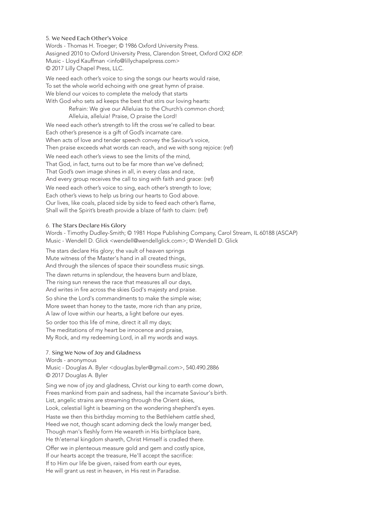5. We Need Each Other's Voice Words - Thomas H. Troeger; © 1986 Oxford University Press. Assigned 2010 to Oxford University Press, Clarendon Street, Oxford OX2 6DP. Music - Lloyd Kauffman <info@lillychapelpress.com> © 2017 Lilly Chapel Press, LLC.

We need each other's voice to sing the songs our hearts would raise, To set the whole world echoing with one great hymn of praise. We blend our voices to complete the melody that starts With God who sets ad keeps the best that stirs our loving hearts: Refrain: We give our Alleluias to the Church's common chord;

Alleluia, alleluia! Praise, O praise the Lord!

We need each other's strength to lift the cross we're called to bear. Each other's presence is a gift of God's incarnate care. When acts of love and tender speech convey the Saviour's voice, Then praise exceeds what words can reach, and we with song rejoice: (ref)

We need each other's views to see the limits of the mind, That God, in fact, turns out to be far more than we've defined; That God's own image shines in all, in every class and race, And every group receives the call to sing with faith and grace: (ref) We need each other's voice to sing, each other's strength to love; Each other's views to help us bring our hearts to God above. Our lives, like coals, placed side by side to feed each other's flame, Shall will the Spirit's breath provide a blaze of faith to claim: (ref)

#### 6. The Stars Declare His Glory

Words - Timothy Dudley-Smith; © 1981 Hope Publishing Company, Carol Stream, IL 60188 (ASCAP) Music - Wendell D. Glick <wendell@wendellglick.com>; © Wendell D. Glick

The stars declare His glory; the vault of heaven springs Mute witness of the Master's hand in all created things, And through the silences of space their soundless music sings. The dawn returns in splendour, the heavens burn and blaze, The rising sun renews the race that measures all our days, And writes in fire across the skies God's majesty and praise. So shine the Lord's commandments to make the simple wise; More sweet than honey to the taste, more rich than any prize, A law of love within our hearts, a light before our eyes. So order too this life of mine, direct it all my days; The meditations of my heart be innocence and praise, My Rock, and my redeeming Lord, in all my words and ways.

#### 7. Sing We Now of Joy and Gladness

Words - anonymous Music - Douglas A. Byler <douglas.byler@gmail.com>, 540.490.2886 © 2017 Douglas A. Byler

Sing we now of joy and gladness, Christ our king to earth come down, Frees mankind from pain and sadness, hail the incarnate Saviour's birth. List, angelic strains are streaming through the Orient skies, Look, celestial light is beaming on the wondering shepherd's eyes.

Haste we then this birthday morning to the Bethlehem cattle shed, Heed we not, though scant adorning deck the lowly manger bed, Though man's fleshly form He weareth in His birthplace bare, He th'eternal kingdom shareth, Christ Himself is cradled there. Offer we in plenteous measure gold and gem and costly spice, If our hearts accept the treasure, He'll accept the sacrifice: If to Him our life be given, raised from earth our eyes, He will grant us rest in heaven, in His rest in Paradise.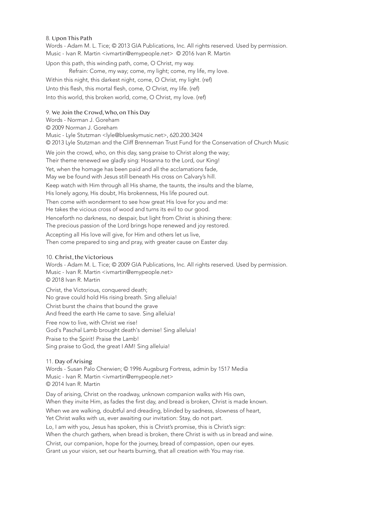#### 8. Upon This Path

Words - Adam M. L. Tice; © 2013 GIA Publications, Inc. All rights reserved. Used by permission. Music - Ivan R. Martin <ivmartin@emypeople.net> © 2016 Ivan R. Martin

Upon this path, this winding path, come, O Christ, my way. Refrain: Come, my way; come, my light; come, my life, my love. Within this night, this darkest night, come, O Christ, my light. (ref) Unto this flesh, this mortal flesh, come, O Christ, my life. (ref) Into this world, this broken world, come, O Christ, my love. (ref)

## 9. We Join the Crowd, Who, on This Day

Words - Norman J. Goreham © 2009 Norman J. Goreham Music - Lyle Stutzman <lyle@blueskymusic.net>, 620.200.3424 © 2013 Lyle Stutzman and the Cliff Brenneman Trust Fund for the Conservation of Church Music

We join the crowd, who, on this day, sang praise to Christ along the way; Their theme renewed we gladly sing: Hosanna to the Lord, our King! Yet, when the homage has been paid and all the acclamations fade, May we be found with Jesus still beneath His cross on Calvary's hill. Keep watch with Him through all His shame, the taunts, the insults and the blame, His lonely agony, His doubt, His brokenness, His life poured out. Then come with wonderment to see how great His love for you and me: He takes the vicious cross of wood and turns its evil to our good. Henceforth no darkness, no despair, but light from Christ is shining there: The precious passion of the Lord brings hope renewed and joy restored. Accepting all His love will give, for Him and others let us live, Then come prepared to sing and pray, with greater cause on Easter day.

## 10. Christ, the Victorious

Words - Adam M. L. Tice; © 2009 GIA Publications, Inc. All rights reserved. Used by permission. Music - Ivan R. Martin <ivmartin@emypeople.net> © 2018 Ivan R. Martin

Christ, the Victorious, conquered death; No grave could hold His rising breath. Sing alleluia! Christ burst the chains that bound the grave And freed the earth He came to save. Sing alleluia! Free now to live, with Christ we rise! God's Paschal Lamb brought death's demise! Sing alleluia! Praise to the Spirit! Praise the Lamb! Sing praise to God, the great I AM! Sing alleluia!

## 11. Day of Arising

Words - Susan Palo Cherwien; © 1996 Augsburg Fortress, admin by 1517 Media Music - Ivan R. Martin <ivmartin@emypeople.net> © 2014 Ivan R. Martin

Day of arising, Christ on the roadway, unknown companion walks with His own, When they invite Him, as fades the first day, and bread is broken, Christ is made known. When we are walking, doubtful and dreading, blinded by sadness, slowness of heart, Yet Christ walks with us, ever awaiting our invitation: Stay, do not part. Lo, I am with you, Jesus has spoken, this is Christ's promise, this is Christ's sign: When the church gathers, when bread is broken, there Christ is with us in bread and wine. Christ, our companion, hope for the journey, bread of compassion, open our eyes. Grant us your vision, set our hearts burning, that all creation with You may rise.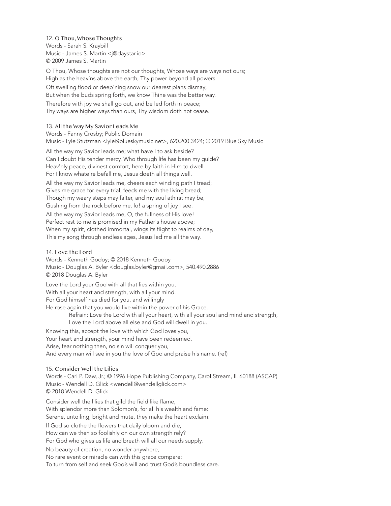12. O Thou, Whose Thoughts Words - Sarah S. Kraybill Music - James S. Martin <j@daystar.io> © 2009 James S. Martin

O Thou, Whose thoughts are not our thoughts, Whose ways are ways not ours; High as the heav'ns above the earth, Thy power beyond all powers. Oft swelling flood or deep'ning snow our dearest plans dismay; But when the buds spring forth, we know Thine was the better way. Therefore with joy we shall go out, and be led forth in peace; Thy ways are higher ways than ours, Thy wisdom doth not cease.

#### 13. All the Way My Savior Leads Me

Words - Fanny Crosby; Public Domain

Music - Lyle Stutzman <lyle@blueskymusic.net>, 620.200.3424; © 2019 Blue Sky Music

All the way my Savior leads me; what have I to ask beside? Can I doubt His tender mercy, Who through life has been my guide? Heav'nly peace, divinest comfort, here by faith in Him to dwell. For I know whate're befall me, Jesus doeth all things well.

All the way my Savior leads me, cheers each winding path I tread; Gives me grace for every trial, feeds me with the living bread; Though my weary steps may falter, and my soul athirst may be, Gushing from the rock before me, lo! a spring of joy I see. All the way my Savior leads me, O, the fullness of His love! Perfect rest to me is promised in my Father's house above; When my spirit, clothed immortal, wings its flight to realms of day, This my song through endless ages, Jesus led me all the way.

#### 14. Love the Lord

Words - Kenneth Godoy; © 2018 Kenneth Godoy Music - Douglas A. Byler <douglas.byler@gmail.com>, 540.490.2886 © 2018 Douglas A. Byler

Love the Lord your God with all that lies within you, With all your heart and strength, with all your mind. For God himself has died for you, and willingly He rose again that you would live within the power of his Grace.

> Refrain: Love the Lord with all your heart, with all your soul and mind and strength, Love the Lord above all else and God will dwell in you.

Knowing this, accept the love with which God loves you, Your heart and strength, your mind have been redeemed. Arise, fear nothing then, no sin will conquer you, And every man will see in you the love of God and praise his name. (ref)

#### 15. Consider Well the Lilies

Words - Carl P. Daw, Jr.; © 1996 Hope Publishing Company, Carol Stream, IL 60188 (ASCAP) Music - Wendell D. Glick <wendell@wendellglick.com> © 2018 Wendell D. Glick

Consider well the lilies that gild the field like flame, With splendor more than Solomon's, for all his wealth and fame: Serene, untoiling, bright and mute, they make the heart exclaim: If God so clothe the flowers that daily bloom and die, How can we then so foolishly on our own strength rely? For God who gives us life and breath will all our needs supply. No beauty of creation, no wonder anywhere, No rare event or miracle can with this grace compare: To turn from self and seek God's will and trust God's boundless care.